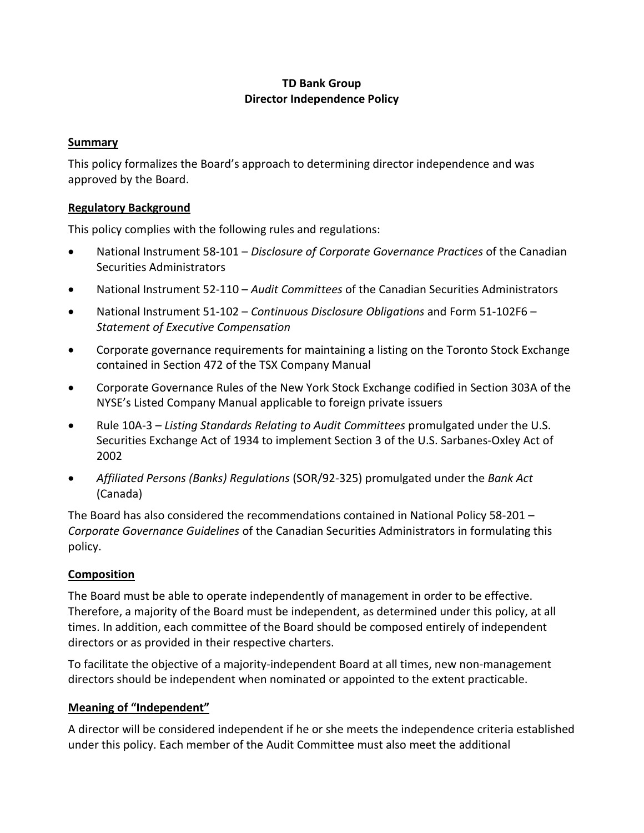## **TD Bank Group Director Independence Policy**

#### **Summary**

This policy formalizes the Board's approach to determining director independence and was approved by the Board.

### **Regulatory Background**

This policy complies with the following rules and regulations:

- National Instrument 58-101 *Disclosure of Corporate Governance Practices* of the Canadian Securities Administrators
- National Instrument 52-110 *Audit Committees* of the Canadian Securities Administrators
- National Instrument 51-102 *Continuous Disclosure Obligations* and Form 51-102F6 *Statement of Executive Compensation*
- Corporate governance requirements for maintaining a listing on the Toronto Stock Exchange contained in Section 472 of the TSX Company Manual
- Corporate Governance Rules of the New York Stock Exchange codified in Section 303A of the NYSE's Listed Company Manual applicable to foreign private issuers
- Rule 10A-3 *Listing Standards Relating to Audit Committees* promulgated under the U.S. Securities Exchange Act of 1934 to implement Section 3 of the U.S. Sarbanes-Oxley Act of 2002
- *Affiliated Persons (Banks) Regulations* (SOR/92-325) promulgated under the *Bank Act* (Canada)

The Board has also considered the recommendations contained in National Policy 58-201 – *Corporate Governance Guidelines* of the Canadian Securities Administrators in formulating this policy.

## **Composition**

The Board must be able to operate independently of management in order to be effective. Therefore, a majority of the Board must be independent, as determined under this policy, at all times. In addition, each committee of the Board should be composed entirely of independent directors or as provided in their respective charters.

To facilitate the objective of a majority-independent Board at all times, new non-management directors should be independent when nominated or appointed to the extent practicable.

## **Meaning of "Independent"**

A director will be considered independent if he or she meets the independence criteria established under this policy. Each member of the Audit Committee must also meet the additional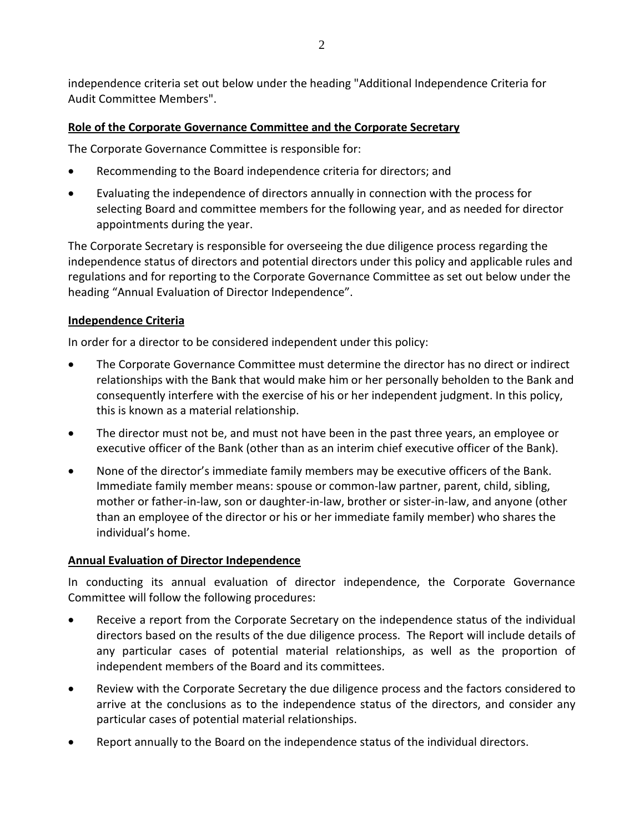independence criteria set out below under the heading "Additional Independence Criteria for Audit Committee Members".

## **Role of the Corporate Governance Committee and the Corporate Secretary**

The Corporate Governance Committee is responsible for:

- Recommending to the Board independence criteria for directors; and
- Evaluating the independence of directors annually in connection with the process for selecting Board and committee members for the following year, and as needed for director appointments during the year.

The Corporate Secretary is responsible for overseeing the due diligence process regarding the independence status of directors and potential directors under this policy and applicable rules and regulations and for reporting to the Corporate Governance Committee as set out below under the heading "Annual Evaluation of Director Independence".

## **Independence Criteria**

In order for a director to be considered independent under this policy:

- The Corporate Governance Committee must determine the director has no direct or indirect relationships with the Bank that would make him or her personally beholden to the Bank and consequently interfere with the exercise of his or her independent judgment. In this policy, this is known as a material relationship.
- The director must not be, and must not have been in the past three years, an employee or executive officer of the Bank (other than as an interim chief executive officer of the Bank).
- None of the director's immediate family members may be executive officers of the Bank. Immediate family member means: spouse or common-law partner, parent, child, sibling, mother or father-in-law, son or daughter-in-law, brother or sister-in-law, and anyone (other than an employee of the director or his or her immediate family member) who shares the individual's home.

# **Annual Evaluation of Director Independence**

In conducting its annual evaluation of director independence, the Corporate Governance Committee will follow the following procedures:

- Receive a report from the Corporate Secretary on the independence status of the individual directors based on the results of the due diligence process. The Report will include details of any particular cases of potential material relationships, as well as the proportion of independent members of the Board and its committees.
- Review with the Corporate Secretary the due diligence process and the factors considered to arrive at the conclusions as to the independence status of the directors, and consider any particular cases of potential material relationships.
- Report annually to the Board on the independence status of the individual directors.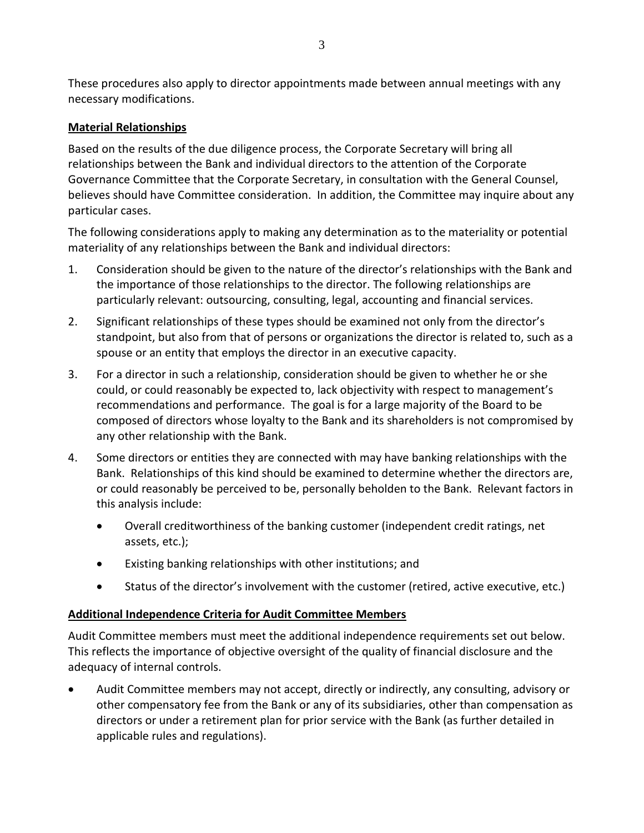These procedures also apply to director appointments made between annual meetings with any necessary modifications.

## **Material Relationships**

Based on the results of the due diligence process, the Corporate Secretary will bring all relationships between the Bank and individual directors to the attention of the Corporate Governance Committee that the Corporate Secretary, in consultation with the General Counsel, believes should have Committee consideration. In addition, the Committee may inquire about any particular cases.

The following considerations apply to making any determination as to the materiality or potential materiality of any relationships between the Bank and individual directors:

- 1. Consideration should be given to the nature of the director's relationships with the Bank and the importance of those relationships to the director. The following relationships are particularly relevant: outsourcing, consulting, legal, accounting and financial services.
- 2. Significant relationships of these types should be examined not only from the director's standpoint, but also from that of persons or organizations the director is related to, such as a spouse or an entity that employs the director in an executive capacity.
- 3. For a director in such a relationship, consideration should be given to whether he or she could, or could reasonably be expected to, lack objectivity with respect to management's recommendations and performance. The goal is for a large majority of the Board to be composed of directors whose loyalty to the Bank and its shareholders is not compromised by any other relationship with the Bank.
- 4. Some directors or entities they are connected with may have banking relationships with the Bank. Relationships of this kind should be examined to determine whether the directors are, or could reasonably be perceived to be, personally beholden to the Bank. Relevant factors in this analysis include:
	- Overall creditworthiness of the banking customer (independent credit ratings, net assets, etc.);
	- Existing banking relationships with other institutions; and
	- Status of the director's involvement with the customer (retired, active executive, etc.)

## **Additional Independence Criteria for Audit Committee Members**

Audit Committee members must meet the additional independence requirements set out below. This reflects the importance of objective oversight of the quality of financial disclosure and the adequacy of internal controls.

• Audit Committee members may not accept, directly or indirectly, any consulting, advisory or other compensatory fee from the Bank or any of its subsidiaries, other than compensation as directors or under a retirement plan for prior service with the Bank (as further detailed in applicable rules and regulations).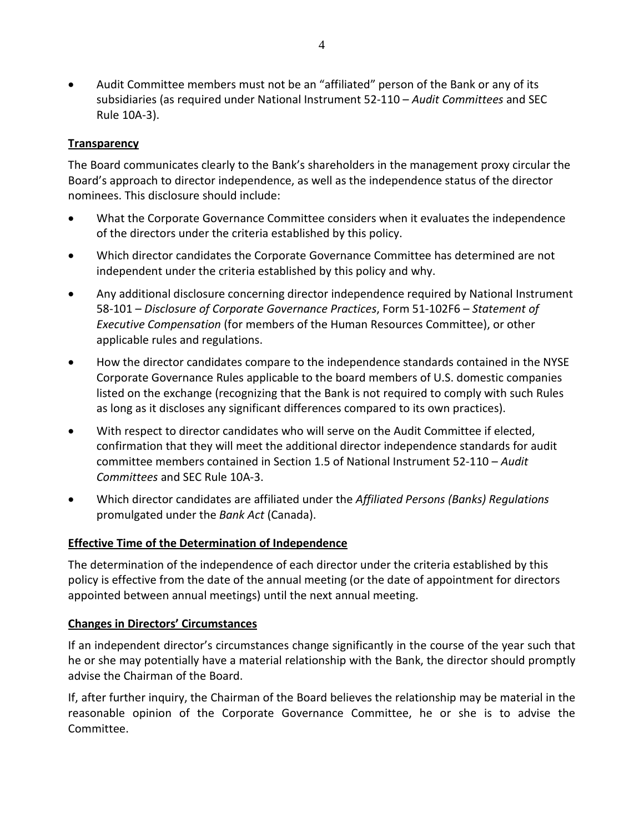• Audit Committee members must not be an "affiliated" person of the Bank or any of its subsidiaries (as required under National Instrument 52-110 – *Audit Committees* and SEC Rule 10A-3).

### **Transparency**

The Board communicates clearly to the Bank's shareholders in the management proxy circular the Board's approach to director independence, as well as the independence status of the director nominees. This disclosure should include:

- What the Corporate Governance Committee considers when it evaluates the independence of the directors under the criteria established by this policy.
- Which director candidates the Corporate Governance Committee has determined are not independent under the criteria established by this policy and why.
- Any additional disclosure concerning director independence required by National Instrument 58-101 – *Disclosure of Corporate Governance Practices*, Form 51-102F6 – *Statement of Executive Compensation* (for members of the Human Resources Committee), or other applicable rules and regulations.
- How the director candidates compare to the independence standards contained in the NYSE Corporate Governance Rules applicable to the board members of U.S. domestic companies listed on the exchange (recognizing that the Bank is not required to comply with such Rules as long as it discloses any significant differences compared to its own practices).
- With respect to director candidates who will serve on the Audit Committee if elected, confirmation that they will meet the additional director independence standards for audit committee members contained in Section 1.5 of National Instrument 52-110 – *Audit Committees* and SEC Rule 10A-3.
- Which director candidates are affiliated under the *Affiliated Persons (Banks) Regulations* promulgated under the *Bank Act* (Canada).

## **Effective Time of the Determination of Independence**

The determination of the independence of each director under the criteria established by this policy is effective from the date of the annual meeting (or the date of appointment for directors appointed between annual meetings) until the next annual meeting.

#### **Changes in Directors' Circumstances**

If an independent director's circumstances change significantly in the course of the year such that he or she may potentially have a material relationship with the Bank, the director should promptly advise the Chairman of the Board.

If, after further inquiry, the Chairman of the Board believes the relationship may be material in the reasonable opinion of the Corporate Governance Committee, he or she is to advise the Committee.